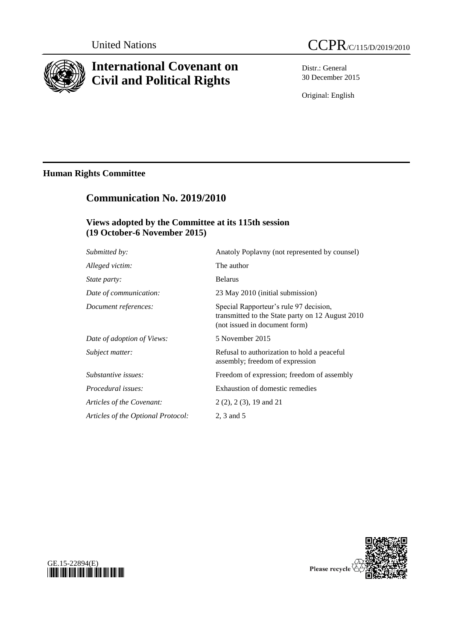

# **International Covenant on Civil and Political Rights**

Distr.: General 30 December 2015

Original: English

# **Human Rights Committee**

# **Communication No. 2019/2010**

### **Views adopted by the Committee at its 115th session (19 October-6 November 2015)**

| Anatoly Poplavny (not represented by counsel)                                                                               |
|-----------------------------------------------------------------------------------------------------------------------------|
| The author                                                                                                                  |
| <b>Belarus</b>                                                                                                              |
| 23 May 2010 (initial submission)                                                                                            |
| Special Rapporteur's rule 97 decision,<br>transmitted to the State party on 12 August 2010<br>(not issued in document form) |
| 5 November 2015                                                                                                             |
| Refusal to authorization to hold a peaceful<br>assembly; freedom of expression                                              |
| Freedom of expression; freedom of assembly                                                                                  |
| Exhaustion of domestic remedies                                                                                             |
| $2(2), 2(3), 19$ and 21                                                                                                     |
| 2, 3 and 5                                                                                                                  |
|                                                                                                                             |



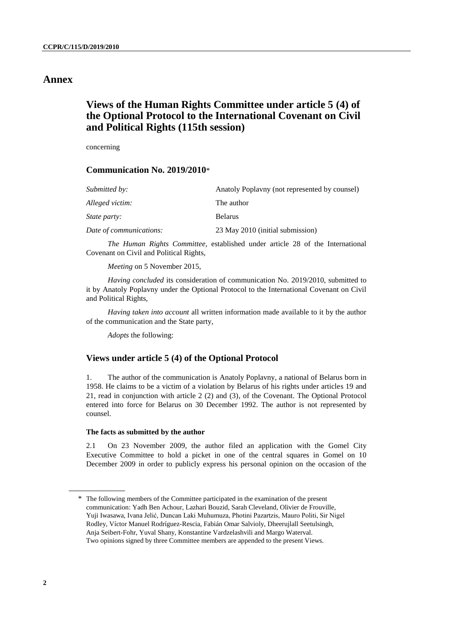### **Annex**

## **Views of the Human Rights Committee under article 5 (4) of the Optional Protocol to the International Covenant on Civil and Political Rights (115th session)**

concerning

### **Communication No. 2019/2010**\*

| Submitted by:           | Anatoly Poplayny (not represented by counsel) |
|-------------------------|-----------------------------------------------|
| Alleged victim:         | The author                                    |
| State party:            | <b>Belarus</b>                                |
| Date of communications: | 23 May 2010 (initial submission)              |

*The Human Rights Committee*, established under article 28 of the International Covenant on Civil and Political Rights,

*Meeting* on 5 November 2015,

*Having concluded* its consideration of communication No. 2019/2010, submitted to it by Anatoly Poplavny under the Optional Protocol to the International Covenant on Civil and Political Rights,

*Having taken into account* all written information made available to it by the author of the communication and the State party,

*Adopts* the following:

### **Views under article 5 (4) of the Optional Protocol**

1. The author of the communication is Anatoly Poplavny, a national of Belarus born in 1958. He claims to be a victim of a violation by Belarus of his rights under articles 19 and 21, read in conjunction with article 2 (2) and (3), of the Covenant. The Optional Protocol entered into force for Belarus on 30 December 1992. The author is not represented by counsel.

#### **The facts as submitted by the author**

2.1 On 23 November 2009, the author filed an application with the Gomel City Executive Committee to hold a picket in one of the central squares in Gomel on 10 December 2009 in order to publicly express his personal opinion on the occasion of the

<sup>\*</sup> The following members of the Committee participated in the examination of the present communication: Yadh Ben Achour, Lazhari Bouzid, Sarah Cleveland, Olivier de Frouville, Yuji Iwasawa, Ivana Jelić, Duncan Laki Muhumuza, Photini Pazartzis, Mauro Politi, Sir Nigel Rodley, Víctor Manuel Rodríguez-Rescia, Fabián Omar Salvioly, Dheerujlall Seetulsingh, Anja Seibert-Fohr, Yuval Shany, Konstantine Vardzelashvili and Margo Waterval. Two opinions signed by three Committee members are appended to the present Views.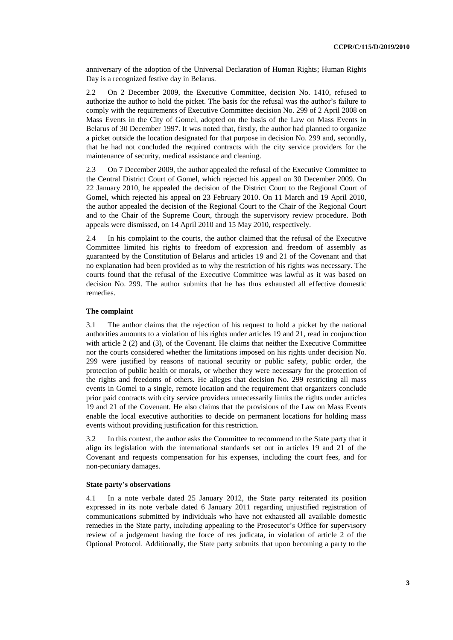anniversary of the adoption of the Universal Declaration of Human Rights; Human Rights Day is a recognized festive day in Belarus.

2.2 On 2 December 2009, the Executive Committee, decision No. 1410, refused to authorize the author to hold the picket. The basis for the refusal was the author's failure to comply with the requirements of Executive Committee decision No. 299 of 2 April 2008 on Mass Events in the City of Gomel, adopted on the basis of the Law on Mass Events in Belarus of 30 December 1997. It was noted that, firstly, the author had planned to organize a picket outside the location designated for that purpose in decision No. 299 and, secondly, that he had not concluded the required contracts with the city service providers for the maintenance of security, medical assistance and cleaning.

2.3 On 7 December 2009, the author appealed the refusal of the Executive Committee to the Central District Court of Gomel, which rejected his appeal on 30 December 2009. On 22 January 2010, he appealed the decision of the District Court to the Regional Court of Gomel, which rejected his appeal on 23 February 2010. On 11 March and 19 April 2010, the author appealed the decision of the Regional Court to the Chair of the Regional Court and to the Chair of the Supreme Court, through the supervisory review procedure. Both appeals were dismissed, on 14 April 2010 and 15 May 2010, respectively.

2.4 In his complaint to the courts, the author claimed that the refusal of the Executive Committee limited his rights to freedom of expression and freedom of assembly as guaranteed by the Constitution of Belarus and articles 19 and 21 of the Covenant and that no explanation had been provided as to why the restriction of his rights was necessary. The courts found that the refusal of the Executive Committee was lawful as it was based on decision No. 299. The author submits that he has thus exhausted all effective domestic remedies.

#### **The complaint**

3.1 The author claims that the rejection of his request to hold a picket by the national authorities amounts to a violation of his rights under articles 19 and 21, read in conjunction with article 2 (2) and (3), of the Covenant. He claims that neither the Executive Committee nor the courts considered whether the limitations imposed on his rights under decision No. 299 were justified by reasons of national security or public safety, public order, the protection of public health or morals, or whether they were necessary for the protection of the rights and freedoms of others. He alleges that decision No. 299 restricting all mass events in Gomel to a single, remote location and the requirement that organizers conclude prior paid contracts with city service providers unnecessarily limits the rights under articles 19 and 21 of the Covenant. He also claims that the provisions of the Law on Mass Events enable the local executive authorities to decide on permanent locations for holding mass events without providing justification for this restriction.

3.2 In this context, the author asks the Committee to recommend to the State party that it align its legislation with the international standards set out in articles 19 and 21 of the Covenant and requests compensation for his expenses, including the court fees, and for non-pecuniary damages.

#### **State party's observations**

4.1 In a note verbale dated 25 January 2012, the State party reiterated its position expressed in its note verbale dated 6 January 2011 regarding unjustified registration of communications submitted by individuals who have not exhausted all available domestic remedies in the State party, including appealing to the Prosecutor's Office for supervisory review of a judgement having the force of res judicata, in violation of article 2 of the Optional Protocol. Additionally, the State party submits that upon becoming a party to the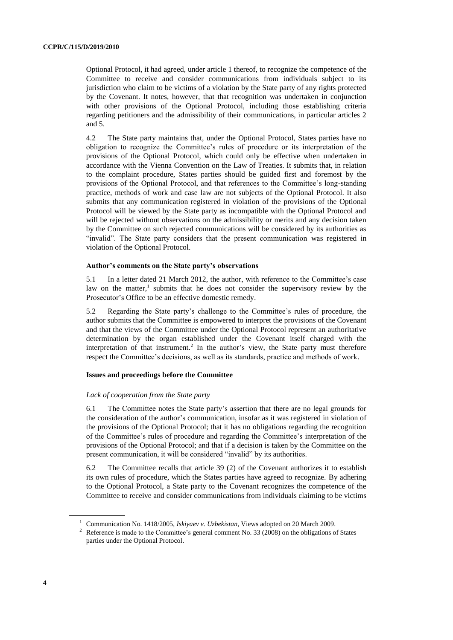Optional Protocol, it had agreed, under article 1 thereof, to recognize the competence of the Committee to receive and consider communications from individuals subject to its jurisdiction who claim to be victims of a violation by the State party of any rights protected by the Covenant. It notes, however, that that recognition was undertaken in conjunction with other provisions of the Optional Protocol, including those establishing criteria regarding petitioners and the admissibility of their communications, in particular articles 2 and 5.

4.2 The State party maintains that, under the Optional Protocol, States parties have no obligation to recognize the Committee's rules of procedure or its interpretation of the provisions of the Optional Protocol, which could only be effective when undertaken in accordance with the Vienna Convention on the Law of Treaties. It submits that, in relation to the complaint procedure, States parties should be guided first and foremost by the provisions of the Optional Protocol, and that references to the Committee's long-standing practice, methods of work and case law are not subjects of the Optional Protocol. It also submits that any communication registered in violation of the provisions of the Optional Protocol will be viewed by the State party as incompatible with the Optional Protocol and will be rejected without observations on the admissibility or merits and any decision taken by the Committee on such rejected communications will be considered by its authorities as "invalid". The State party considers that the present communication was registered in violation of the Optional Protocol.

#### **Author's comments on the State party's observations**

5.1 In a letter dated 21 March 2012, the author, with reference to the Committee's case law on the matter,<sup>1</sup> submits that he does not consider the supervisory review by the Prosecutor's Office to be an effective domestic remedy.

5.2 Regarding the State party's challenge to the Committee's rules of procedure, the author submits that the Committee is empowered to interpret the provisions of the Covenant and that the views of the Committee under the Optional Protocol represent an authoritative determination by the organ established under the Covenant itself charged with the interpretation of that instrument.<sup>2</sup> In the author's view, the State party must therefore respect the Committee's decisions, as well as its standards, practice and methods of work.

#### **Issues and proceedings before the Committee**

#### *Lack of cooperation from the State party*

6.1 The Committee notes the State party's assertion that there are no legal grounds for the consideration of the author's communication, insofar as it was registered in violation of the provisions of the Optional Protocol; that it has no obligations regarding the recognition of the Committee's rules of procedure and regarding the Committee's interpretation of the provisions of the Optional Protocol; and that if a decision is taken by the Committee on the present communication, it will be considered "invalid" by its authorities.

6.2 The Committee recalls that article 39 (2) of the Covenant authorizes it to establish its own rules of procedure, which the States parties have agreed to recognize. By adhering to the Optional Protocol, a State party to the Covenant recognizes the competence of the Committee to receive and consider communications from individuals claiming to be victims

<sup>1</sup> Communication No. 1418/2005, *Iskiyaev v. Uzbekistan,* Views adopted on 20 March 2009.

<sup>&</sup>lt;sup>2</sup> Reference is made to the Committee's general comment No. 33 (2008) on the obligations of States parties under the Optional Protocol.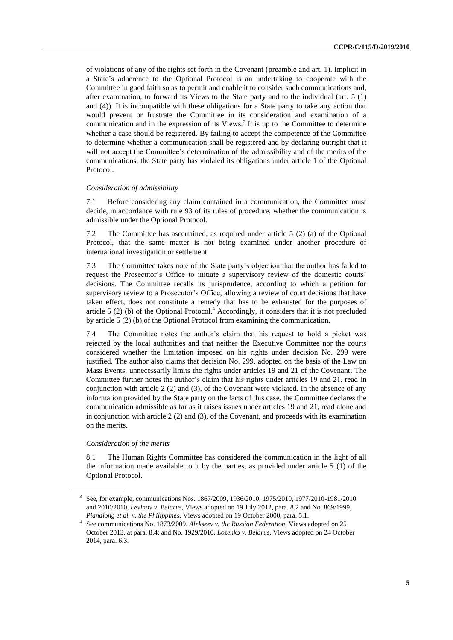of violations of any of the rights set forth in the Covenant (preamble and art. 1). Implicit in a State's adherence to the Optional Protocol is an undertaking to cooperate with the Committee in good faith so as to permit and enable it to consider such communications and, after examination, to forward its Views to the State party and to the individual (art. 5 (1) and (4)). It is incompatible with these obligations for a State party to take any action that would prevent or frustrate the Committee in its consideration and examination of a communication and in the expression of its Views.<sup>3</sup> It is up to the Committee to determine whether a case should be registered. By failing to accept the competence of the Committee to determine whether a communication shall be registered and by declaring outright that it will not accept the Committee's determination of the admissibility and of the merits of the communications, the State party has violated its obligations under article 1 of the Optional Protocol.

#### *Consideration of admissibility*

7.1 Before considering any claim contained in a communication, the Committee must decide, in accordance with rule 93 of its rules of procedure, whether the communication is admissible under the Optional Protocol.

7.2 The Committee has ascertained, as required under article 5 (2) (a) of the Optional Protocol, that the same matter is not being examined under another procedure of international investigation or settlement.

7.3 The Committee takes note of the State party's objection that the author has failed to request the Prosecutor's Office to initiate a supervisory review of the domestic courts' decisions. The Committee recalls its jurisprudence, according to which a petition for supervisory review to a Prosecutor's Office, allowing a review of court decisions that have taken effect, does not constitute a remedy that has to be exhausted for the purposes of article 5 (2) (b) of the Optional Protocol.<sup>4</sup> Accordingly, it considers that it is not precluded by article 5 (2) (b) of the Optional Protocol from examining the communication.

7.4 The Committee notes the author's claim that his request to hold a picket was rejected by the local authorities and that neither the Executive Committee nor the courts considered whether the limitation imposed on his rights under decision No. 299 were justified. The author also claims that decision No. 299, adopted on the basis of the Law on Mass Events, unnecessarily limits the rights under articles 19 and 21 of the Covenant. The Committee further notes the author's claim that his rights under articles 19 and 21, read in conjunction with article 2 (2) and (3), of the Covenant were violated. In the absence of any information provided by the State party on the facts of this case, the Committee declares the communication admissible as far as it raises issues under articles 19 and 21, read alone and in conjunction with article 2 (2) and (3), of the Covenant, and proceeds with its examination on the merits.

#### *Consideration of the merits*

8.1 The Human Rights Committee has considered the communication in the light of all the information made available to it by the parties, as provided under article 5 (1) of the Optional Protocol.

<sup>3</sup> See, for example, communications Nos. 1867/2009, 1936/2010, 1975/2010, 1977/2010-1981/2010 and 2010/2010, *Levinov v. Belarus,* Views adopted on 19 July 2012, para. 8.2 and No. 869/1999, *Piandiong et al. v. the Philippines*, Views adopted on 19 October 2000, para. 5.1.

<sup>4</sup> See communications No. 1873/2009, *Alekseev v. the Russian Federation*, Views adopted on 25 October 2013, at para. 8.4; and No. 1929/2010, *Lozenko v. Belarus,* Views adopted on 24 October 2014, para. 6.3.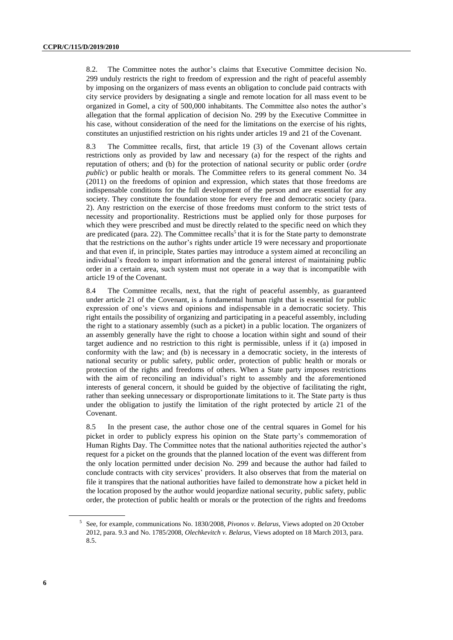8.2. The Committee notes the author's claims that Executive Committee decision No. 299 unduly restricts the right to freedom of expression and the right of peaceful assembly by imposing on the organizers of mass events an obligation to conclude paid contracts with city service providers by designating a single and remote location for all mass event to be organized in Gomel, a city of 500,000 inhabitants. The Committee also notes the author's allegation that the formal application of decision No. 299 by the Executive Committee in his case, without consideration of the need for the limitations on the exercise of his rights, constitutes an unjustified restriction on his rights under articles 19 and 21 of the Covenant.

8.3 The Committee recalls, first, that article 19 (3) of the Covenant allows certain restrictions only as provided by law and necessary (a) for the respect of the rights and reputation of others; and (b) for the protection of national security or public order (*ordre public*) or public health or morals. The Committee refers to its general comment No. 34 (2011) on the freedoms of opinion and expression, which states that those freedoms are indispensable conditions for the full development of the person and are essential for any society. They constitute the foundation stone for every free and democratic society (para. 2). Any restriction on the exercise of those freedoms must conform to the strict tests of necessity and proportionality. Restrictions must be applied only for those purposes for which they were prescribed and must be directly related to the specific need on which they are predicated (para. 22). The Committee recalls<sup>5</sup> that it is for the State party to demonstrate that the restrictions on the author's rights under article 19 were necessary and proportionate and that even if, in principle, States parties may introduce a system aimed at reconciling an individual's freedom to impart information and the general interest of maintaining public order in a certain area, such system must not operate in a way that is incompatible with article 19 of the Covenant.

8.4 The Committee recalls, next, that the right of peaceful assembly, as guaranteed under article 21 of the Covenant, is a fundamental human right that is essential for public expression of one's views and opinions and indispensable in a democratic society. This right entails the possibility of organizing and participating in a peaceful assembly, including the right to a stationary assembly (such as a picket) in a public location. The organizers of an assembly generally have the right to choose a location within sight and sound of their target audience and no restriction to this right is permissible, unless if it (a) imposed in conformity with the law; and (b) is necessary in a democratic society, in the interests of national security or public safety, public order, protection of public health or morals or protection of the rights and freedoms of others. When a State party imposes restrictions with the aim of reconciling an individual's right to assembly and the aforementioned interests of general concern, it should be guided by the objective of facilitating the right, rather than seeking unnecessary or disproportionate limitations to it. The State party is thus under the obligation to justify the limitation of the right protected by article 21 of the Covenant.

8.5 In the present case, the author chose one of the central squares in Gomel for his picket in order to publicly express his opinion on the State party's commemoration of Human Rights Day. The Committee notes that the national authorities rejected the author's request for a picket on the grounds that the planned location of the event was different from the only location permitted under decision No. 299 and because the author had failed to conclude contracts with city services' providers. It also observes that from the material on file it transpires that the national authorities have failed to demonstrate how a picket held in the location proposed by the author would jeopardize national security, public safety, public order, the protection of public health or morals or the protection of the rights and freedoms

<sup>5</sup> See, for example, communications No. 1830/2008, *Pivonos v. Belarus,* Views adopted on 20 October 2012, para. 9.3 and No. 1785/2008, *Olechkevitch v. Belarus,* Views adopted on 18 March 2013, para. 8.5.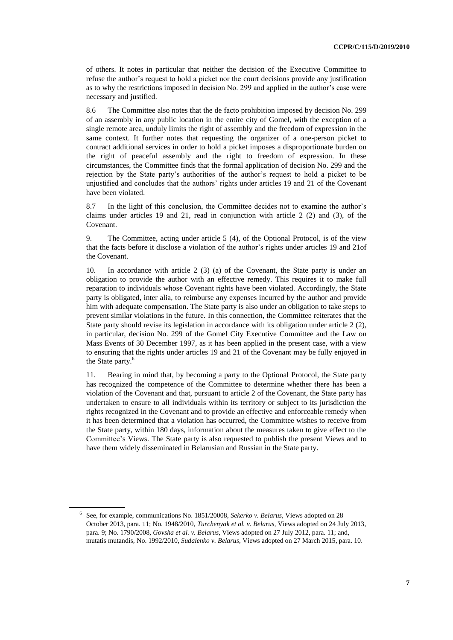of others. It notes in particular that neither the decision of the Executive Committee to refuse the author's request to hold a picket nor the court decisions provide any justification as to why the restrictions imposed in decision No. 299 and applied in the author's case were necessary and justified.

8.6 The Committee also notes that the de facto prohibition imposed by decision No. 299 of an assembly in any public location in the entire city of Gomel, with the exception of a single remote area, unduly limits the right of assembly and the freedom of expression in the same context. It further notes that requesting the organizer of a one-person picket to contract additional services in order to hold a picket imposes a disproportionate burden on the right of peaceful assembly and the right to freedom of expression. In these circumstances, the Committee finds that the formal application of decision No. 299 and the rejection by the State party's authorities of the author's request to hold a picket to be unjustified and concludes that the authors' rights under articles 19 and 21 of the Covenant have been violated.

8.7 In the light of this conclusion, the Committee decides not to examine the author's claims under articles 19 and 21, read in conjunction with article 2  $(2)$  and  $(3)$ , of the Covenant.

9. The Committee, acting under article 5 (4), of the Optional Protocol, is of the view that the facts before it disclose a violation of the author's rights under articles 19 and 21of the Covenant.

10. In accordance with article 2 (3) (a) of the Covenant, the State party is under an obligation to provide the author with an effective remedy. This requires it to make full reparation to individuals whose Covenant rights have been violated. Accordingly, the State party is obligated, inter alia, to reimburse any expenses incurred by the author and provide him with adequate compensation. The State party is also under an obligation to take steps to prevent similar violations in the future. In this connection, the Committee reiterates that the State party should revise its legislation in accordance with its obligation under article 2 (2), in particular, decision No. 299 of the Gomel City Executive Committee and the Law on Mass Events of 30 December 1997, as it has been applied in the present case, with a view to ensuring that the rights under articles 19 and 21 of the Covenant may be fully enjoyed in the State party.<sup>6</sup>

11. Bearing in mind that, by becoming a party to the Optional Protocol, the State party has recognized the competence of the Committee to determine whether there has been a violation of the Covenant and that, pursuant to article 2 of the Covenant, the State party has undertaken to ensure to all individuals within its territory or subject to its jurisdiction the rights recognized in the Covenant and to provide an effective and enforceable remedy when it has been determined that a violation has occurred, the Committee wishes to receive from the State party, within 180 days, information about the measures taken to give effect to the Committee's Views. The State party is also requested to publish the present Views and to have them widely disseminated in Belarusian and Russian in the State party.

<sup>6</sup> See, for example, communications No. 1851/20008, *Sekerko v. Belarus*, Views adopted on 28 October 2013, para. 11; No. 1948/2010, *Turchenyak et al. v. Belarus,* Views adopted on 24 July 2013, para. 9; No. 1790/2008, *Govsha et al. v. Belarus,* Views adopted on 27 July 2012, para. 11; and, mutatis mutandis*,* No. 1992/2010*, Sudalenko v. Belarus*, Views adopted on 27 March 2015, para. 10.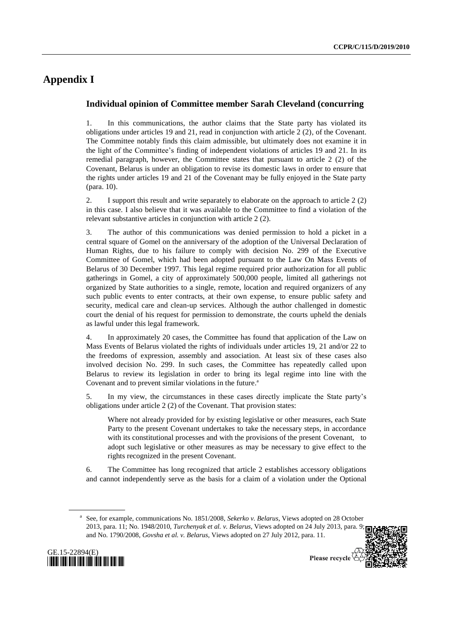# **Appendix I**

### **Individual opinion of Committee member Sarah Cleveland (concurring**

1. In this communications, the author claims that the State party has violated its obligations under articles 19 and 21, read in conjunction with article 2 (2), of the Covenant. The Committee notably finds this claim admissible, but ultimately does not examine it in the light of the Committee's finding of independent violations of articles 19 and 21. In its remedial paragraph, however, the Committee states that pursuant to article 2 (2) of the Covenant, Belarus is under an obligation to revise its domestic laws in order to ensure that the rights under articles 19 and 21 of the Covenant may be fully enjoyed in the State party (para. 10).

2. I support this result and write separately to elaborate on the approach to article 2 (2) in this case. I also believe that it was available to the Committee to find a violation of the relevant substantive articles in conjunction with article 2 (2).

3. The author of this communications was denied permission to hold a picket in a central square of Gomel on the anniversary of the adoption of the Universal Declaration of Human Rights, due to his failure to comply with decision No. 299 of the Executive Committee of Gomel, which had been adopted pursuant to the Law On Mass Events of Belarus of 30 December 1997. This legal regime required prior authorization for all public gatherings in Gomel, a city of approximately 500,000 people, limited all gatherings not organized by State authorities to a single, remote, location and required organizers of any such public events to enter contracts, at their own expense, to ensure public safety and security, medical care and clean-up services. Although the author challenged in domestic court the denial of his request for permission to demonstrate, the courts upheld the denials as lawful under this legal framework.

4. In approximately 20 cases, the Committee has found that application of the Law on Mass Events of Belarus violated the rights of individuals under articles 19, 21 and/or 22 to the freedoms of expression, assembly and association. At least six of these cases also involved decision No. 299. In such cases, the Committee has repeatedly called upon Belarus to review its legislation in order to bring its legal regime into line with the Covenant and to prevent similar violations in the future.<sup>2</sup>

5. In my view, the circumstances in these cases directly implicate the State party's obligations under article 2 (2) of the Covenant. That provision states:

Where not already provided for by existing legislative or other measures, each State Party to the present Covenant undertakes to take the necessary steps, in accordance with its constitutional processes and with the provisions of the present Covenant, to adopt such legislative or other measures as may be necessary to give effect to the rights recognized in the present Covenant.

6. The Committee has long recognized that article 2 establishes accessory obligations and cannot independently serve as the basis for a claim of a violation under the Optional

a See, for example, communications No. 1851/2008, *Sekerko v. Belarus*, Views adopted on 28 October 2013, para. 11; No. 1948/2010, *Turchenyak et al. v. Belarus,* Views adopted on 24 July 2013, para. 9; and No. 1790/2008, *Govsha et al. v. Belarus*, Views adopted on 27 July 2012, para. 11.



Please recycle  $\overline{\mathfrak{S}}$ 

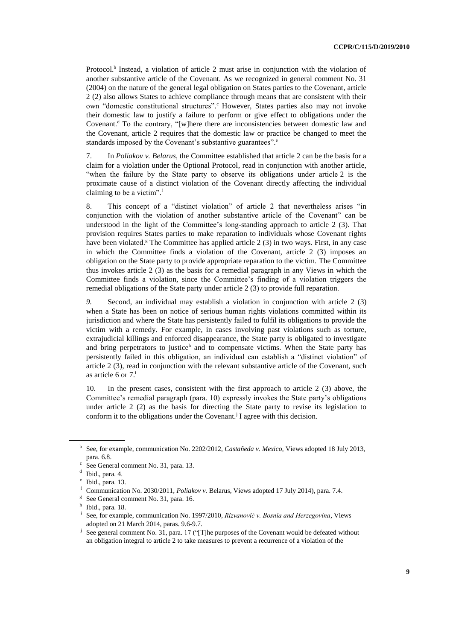Protocol.<sup>b</sup> Instead, a violation of article 2 must arise in conjunction with the violation of another substantive article of the Covenant. As we recognized in general comment No. 31 (2004) on the nature of the general legal obligation on States parties to the Covenant, article 2 (2) also allows States to achieve compliance through means that are consistent with their own "domestic constitutional structures". However, States parties also may not invoke their domestic law to justify a failure to perform or give effect to obligations under the Covenant.<sup>d</sup> To the contrary, "[w]here there are inconsistencies between domestic law and the Covenant, article 2 requires that the domestic law or practice be changed to meet the standards imposed by the Covenant's substantive guarantees".<sup>e</sup>

7. In *Poliakov v. Belarus,* the Committee established that article 2 can be the basis for a claim for a violation under the Optional Protocol, read in conjunction with another article, "when the failure by the State party to observe its obligations under article 2 is the proximate cause of a distinct violation of the Covenant directly affecting the individual claiming to be a victim". f

8. This concept of a "distinct violation" of article 2 that nevertheless arises "in conjunction with the violation of another substantive article of the Covenant" can be understood in the light of the Committee's long-standing approach to article 2 (3). That provision requires States parties to make reparation to individuals whose Covenant rights have been violated.<sup>g</sup> The Committee has applied article 2 (3) in two ways. First, in any case in which the Committee finds a violation of the Covenant, article 2 (3) imposes an obligation on the State party to provide appropriate reparation to the victim. The Committee thus invokes article 2 (3) as the basis for a remedial paragraph in any Views in which the Committee finds a violation, since the Committee's finding of a violation triggers the remedial obligations of the State party under article 2 (3) to provide full reparation.

*9.* Second, an individual may establish a violation in conjunction with article 2 (3) when a State has been on notice of serious human rights violations committed within its jurisdiction and where the State has persistently failed to fulfil its obligations to provide the victim with a remedy. For example, in cases involving past violations such as torture, extrajudicial killings and enforced disappearance, the State party is obligated to investigate and bring perpetrators to justice<sup>h</sup> and to compensate victims. When the State party has persistently failed in this obligation, an individual can establish a "distinct violation" of article 2 (3), read in conjunction with the relevant substantive article of the Covenant, such as article 6 or  $7<sup>i</sup>$ 

10. In the present cases, consistent with the first approach to article 2 (3) above, the Committee's remedial paragraph (para. 10) expressly invokes the State party's obligations under article 2 (2) as the basis for directing the State party to revise its legislation to conform it to the obligations under the Covenant.<sup>j</sup> I agree with this decision.

b See, for example, communication No. 2202/2012, *Castañeda v. Mexico*, Views adopted 18 July 2013, para. 6.8.

c See General comment No. 31, para. 13.

d Ibid., para. 4.

e Ibid., para. 13.

<sup>f</sup> Communication No. 2030/2011, *Poliakov v.* Belarus, Views adopted 17 July 2014), para. 7.4.

<sup>&</sup>lt;sup>g</sup> See General comment No. 31, para. 16.

<sup>&</sup>lt;sup>h</sup> Ibid., para. 18.

i See, for example, communication No. 1997/2010, *Rizvanović v. Bosnia and Herzegovina*, Views adopted on 21 March 2014, paras. 9.6-9.7.

j See general comment No. 31, para. 17 ("[T]he purposes of the Covenant would be defeated without an obligation integral to article 2 to take measures to prevent a recurrence of a violation of the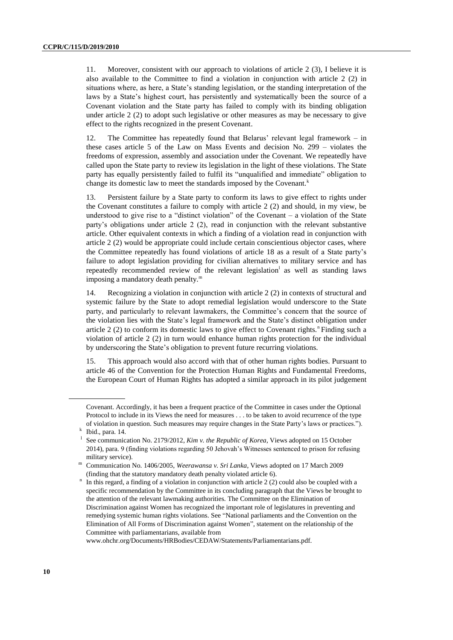11. Moreover, consistent with our approach to violations of article 2 (3), I believe it is also available to the Committee to find a violation in conjunction with article 2 (2) in situations where, as here, a State's standing legislation, or the standing interpretation of the laws by a State's highest court, has persistently and systematically been the source of a Covenant violation and the State party has failed to comply with its binding obligation under article 2 (2) to adopt such legislative or other measures as may be necessary to give effect to the rights recognized in the present Covenant.

12. The Committee has repeatedly found that Belarus' relevant legal framework – in these cases article 5 of the Law on Mass Events and decision No. 299 – violates the freedoms of expression, assembly and association under the Covenant. We repeatedly have called upon the State party to review its legislation in the light of these violations. The State party has equally persistently failed to fulfil its "unqualified and immediate" obligation to change its domestic law to meet the standards imposed by the Covenant.<sup>k</sup>

13. Persistent failure by a State party to conform its laws to give effect to rights under the Covenant constitutes a failure to comply with article 2 (2) and should, in my view, be understood to give rise to a "distinct violation" of the Covenant  $-$  a violation of the State party's obligations under article 2 (2), read in conjunction with the relevant substantive article. Other equivalent contexts in which a finding of a violation read in conjunction with article 2 (2) would be appropriate could include certain conscientious objector cases, where the Committee repeatedly has found violations of article 18 as a result of a State party's failure to adopt legislation providing for civilian alternatives to military service and has repeatedly recommended review of the relevant legislation<sup>1</sup> as well as standing laws imposing a mandatory death penalty.<sup>m</sup>

14. Recognizing a violation in conjunction with article 2 (2) in contexts of structural and systemic failure by the State to adopt remedial legislation would underscore to the State party, and particularly to relevant lawmakers, the Committee's concern that the source of the violation lies with the State's legal framework and the State's distinct obligation under article  $2(2)$  to conform its domestic laws to give effect to Covenant rights.<sup>n</sup> Finding such a violation of article 2 (2) in turn would enhance human rights protection for the individual by underscoring the State's obligation to prevent future recurring violations.

15. This approach would also accord with that of other human rights bodies. Pursuant to article 46 of the Convention for the Protection Human Rights and Fundamental Freedoms, the European Court of Human Rights has adopted a similar approach in its pilot judgement

www.ohchr.org/Documents/HRBodies/CEDAW/Statements/Parliamentarians.pdf.

Covenant. Accordingly, it has been a frequent practice of the Committee in cases under the Optional Protocol to include in its Views the need for measures . . . to be taken to avoid recurrence of the type of violation in question. Such measures may require changes in the State Party's laws or practices.").

k Ibid., para. 14.

l See communication No. 2179/2012, *Kim v. the Republic of Korea*, Views adopted on 15 October 2014), para. 9 (finding violations regarding 50 Jehovah's Witnesses sentenced to prison for refusing military service).

<sup>m</sup> Communication No. 1406/2005, *Weerawansa v. Sri Lanka*, Views adopted on 17 March 2009 (finding that the statutory mandatory death penalty violated article 6).

<sup>&</sup>lt;sup>n</sup> In this regard, a finding of a violation in conjunction with article 2 (2) could also be coupled with a specific recommendation by the Committee in its concluding paragraph that the Views be brought to the attention of the relevant lawmaking authorities. The Committee on the Elimination of Discrimination against Women has recognized the important role of legislatures in preventing and remedying systemic human rights violations. See "National parliaments and the Convention on the Elimination of All Forms of Discrimination against Women"*,* statement on the relationship of the Committee with parliamentarians, available from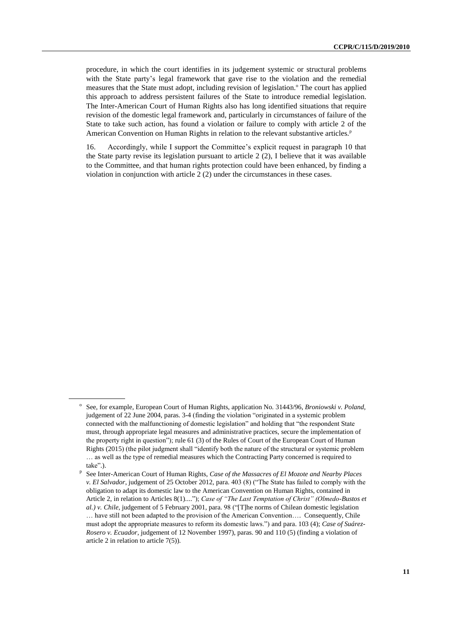procedure, in which the court identifies in its judgement systemic or structural problems with the State party's legal framework that gave rise to the violation and the remedial measures that the State must adopt, including revision of legislation.<sup>o</sup> The court has applied this approach to address persistent failures of the State to introduce remedial legislation. The Inter-American Court of Human Rights also has long identified situations that require revision of the domestic legal framework and, particularly in circumstances of failure of the State to take such action, has found a violation or failure to comply with article 2 of the American Convention on Human Rights in relation to the relevant substantive articles.<sup>p</sup>

16. Accordingly, while I support the Committee's explicit request in paragraph 10 that the State party revise its legislation pursuant to article 2 (2), I believe that it was available to the Committee, and that human rights protection could have been enhanced, by finding a violation in conjunction with article 2 (2) under the circumstances in these cases.

<sup>&</sup>lt;sup>o</sup> See, for example, European Court of Human Rights, application No. 31443/96, *Broniowski v. Poland*, judgement of 22 June 2004, paras. 3-4 (finding the violation "originated in a systemic problem connected with the malfunctioning of domestic legislation" and holding that "the respondent State must, through appropriate legal measures and administrative practices, secure the implementation of the property right in question"); rule 61 (3) of the Rules of Court of the European Court of Human Rights (2015) (the pilot judgment shall "identify both the nature of the structural or systemic problem … as well as the type of remedial measures which the Contracting Party concerned is required to take".).

p See Inter-American Court of Human Rights, *Case of the Massacres of El Mozote and Nearby Places v. El Salvador*, judgement of 25 October 2012, para. 403 (8) ("The State has failed to comply with the obligation to adapt its domestic law to the American Convention on Human Rights, contained in Article 2, in relation to Articles 8(1)...."); *Case of "The Last Temptation of Christ" (Olmedo-Bustos et al.) v. Chile*, judgement of 5 February 2001, para. 98 ("[T]he norms of Chilean domestic legislation … have still not been adapted to the provision of the American Convention…. Consequently, Chile must adopt the appropriate measures to reform its domestic laws.") and para. 103 (4); *Case of Suárez-Rosero v. Ecuador*, judgement of 12 November 1997), paras. 90 and 110 (5) (finding a violation of article 2 in relation to article 7(5)).